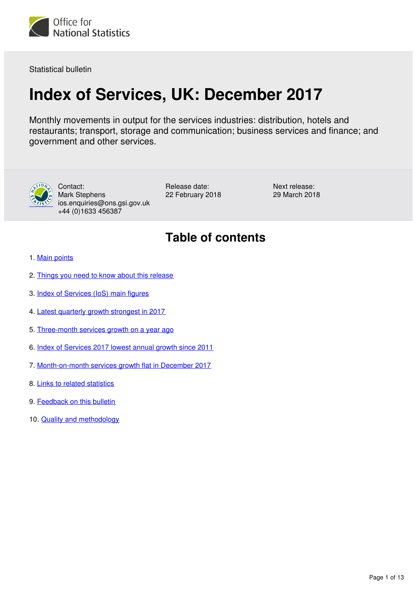

Statistical bulletin

# **Index of Services, UK: December 2017**

Monthly movements in output for the services industries: distribution, hotels and restaurants; transport, storage and communication; business services and finance; and government and other services.



Contact: Mark Stephens ios.enquiries@ons.gsi.gov.uk +44 (0)1633 456387

Release date: 22 February 2018 Next release: 29 March 2018

## **Table of contents**

- 1. [Main points](#page-1-0)
- 2. [Things you need to know about this release](#page-1-1)
- 3. [Index of Services \(IoS\) main figures](#page-2-0)
- 4. [Latest quarterly growth strongest in 2017](#page-3-0)
- 5. [Three-month services growth on a year ago](#page-4-0)
- 6. [Index of Services 2017 lowest annual growth since 2011](#page-6-0)
- 7. [Month-on-month services growth flat in December 2017](#page-9-0)
- 8. [Links to related statistics](#page-11-0)
- 9. [Feedback on this bulletin](#page-11-1)
- 10. [Quality and methodology](#page-11-2)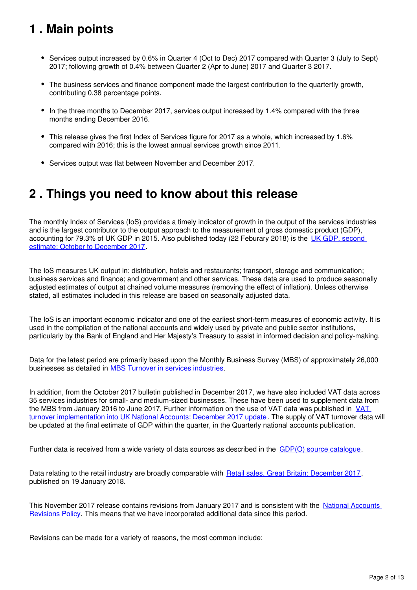## <span id="page-1-0"></span>**1 . Main points**

- Services output increased by 0.6% in Quarter 4 (Oct to Dec) 2017 compared with Quarter 3 (July to Sept) 2017; following growth of 0.4% between Quarter 2 (Apr to June) 2017 and Quarter 3 2017.
- The business services and finance component made the largest contribution to the quartertly growth, contributing 0.38 percentage points.
- In the three months to December 2017, services output increased by 1.4% compared with the three months ending December 2016.
- This release gives the first Index of Services figure for 2017 as a whole, which increased by 1.6% compared with 2016; this is the lowest annual services growth since 2011.
- Services output was flat between November and December 2017.

### <span id="page-1-1"></span>**2 . Things you need to know about this release**

The monthly Index of Services (IoS) provides a timely indicator of growth in the output of the services industries and is the largest contributor to the output approach to the measurement of gross domestic product (GDP). accounting for 79.3% of UK GDP in 2015. Also published today (22 Feburary 2018) is the [UK GDP, second](https://www.ons.gov.uk/economy/grossdomesticproductgdp/bulletins/secondestimateofgdp/previousReleases)  [estimate: October to December 2017.](https://www.ons.gov.uk/economy/grossdomesticproductgdp/bulletins/secondestimateofgdp/previousReleases)

The IoS measures UK output in: distribution, hotels and restaurants; transport, storage and communication; business services and finance; and government and other services. These data are used to produce seasonally adjusted estimates of output at chained volume measures (removing the effect of inflation). Unless otherwise stated, all estimates included in this release are based on seasonally adjusted data.

The IoS is an important economic indicator and one of the earliest short-term measures of economic activity. It is used in the compilation of the national accounts and widely used by private and public sector institutions, particularly by the Bank of England and Her Majesty's Treasury to assist in informed decision and policy-making.

Data for the latest period are primarily based upon the Monthly Business Survey (MBS) of approximately 26,000 businesses as detailed in MBS Turnover in services industries.

In addition, from the October 2017 bulletin published in December 2017, we have also included VAT data across 35 services industries for small- and medium-sized businesses. These have been used to supplement data from the MBS from January 2016 to June 2017. Further information on the use of [VAT](https://www.ons.gov.uk/economy/grossdomesticproductgdp/articles/vatturnoverinitialresearchanalysisuk/december) data was published in VAT [turnover implementation into UK National Accounts: December 2017 update](https://www.ons.gov.uk/economy/grossdomesticproductgdp/articles/vatturnoverinitialresearchanalysisuk/december). The supply of VAT turnover data will be updated at the final estimate of GDP within the quarter, in the Quarterly national accounts publication.

Further data is received from a wide variety of data sources as described in the  $GDP(O)$  source catalogue[.](https://www.ons.gov.uk/economy/grossdomesticproductgdp/datasets/gdpodatasourcescatalogue)

Data relating to the retail industry are broadly comparable with [Retail sales, Great Britain: December 2017,](https://www.ons.gov.uk/businessindustryandtrade/retailindustry/bulletins/retailsales/december2017) published on 19 January 2018.

This November 2017 release contains revisions from January 2017 and is consistent with the [National Accounts](https://www.ons.gov.uk/methodology/methodologytopicsandstatisticalconcepts/revisions/revisionspoliciesforeconomicstatistics)  [Revisions Policy](https://www.ons.gov.uk/methodology/methodologytopicsandstatisticalconcepts/revisions/revisionspoliciesforeconomicstatistics). This means that we have incorporated additional data since this period.

Revisions can be made for a variety of reasons, the most common include: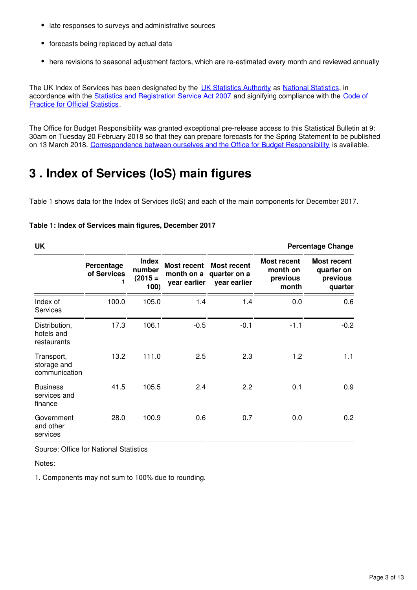- late responses to surveys and administrative sources
- forecasts being replaced by actual data
- here revisions to seasonal adjustment factors, which are re-estimated every month and reviewed annually

The UK Index of Services has been designated by the [UK Statistics Authority](https://www.statisticsauthority.gov.uk/) as National Statistics, in accordance with the [Statistics and Registration Service Act 2007](https://www.statisticsauthority.gov.uk/about-the-authority/uk-statistical-system/legislation/key-legislative-documents/) and signifying compliance with the Code of [Practice for Official Statistics](https://www.statisticsauthority.gov.uk/monitoring-and-assessment/code-of-practice/).

The Office for Budget Responsibility was granted exceptional pre-release access to this Statistical Bulletin at 9: 30am on Tuesday 20 February 2018 so that they can prepare forecasts for the Spring Statement to be published on 13 March 2018. [Correspondence between ourselves and the Office for Budget Responsibility](https://www.ons.gov.uk/news/statementsandletters/exchangeoflettersbetweenjonathanathowandrobertchoteregardingexceptionalprereleaseaccess) is available.

## <span id="page-2-0"></span>**3 . Index of Services (IoS) main figures**

Table 1 shows data for the Index of Services (IoS) and each of the main components for December 2017.

| <b>UK</b><br><b>Percentage Change</b>      |                           |                                             |                                                  |                                                    |                                              |                                                         |  |
|--------------------------------------------|---------------------------|---------------------------------------------|--------------------------------------------------|----------------------------------------------------|----------------------------------------------|---------------------------------------------------------|--|
|                                            | Percentage<br>of Services | <b>Index</b><br>number<br>$(2015 =$<br>100) | <b>Most recent</b><br>month on a<br>year earlier | <b>Most recent</b><br>quarter on a<br>year earlier | Most recent<br>month on<br>previous<br>month | <b>Most recent</b><br>quarter on<br>previous<br>quarter |  |
| Index of<br><b>Services</b>                | 100.0                     | 105.0                                       | 1.4                                              | 1.4                                                | 0.0                                          | 0.6                                                     |  |
| Distribution,<br>hotels and<br>restaurants | 17.3                      | 106.1                                       | $-0.5$                                           | $-0.1$                                             | $-1.1$                                       | $-0.2$                                                  |  |
| Transport,<br>storage and<br>communication | 13.2                      | 111.0                                       | 2.5                                              | 2.3                                                | 1.2                                          | 1.1                                                     |  |
| <b>Business</b><br>services and<br>finance | 41.5                      | 105.5                                       | 2.4                                              | 2.2                                                | 0.1                                          | 0.9                                                     |  |
| Government<br>and other<br>services        | 28.0                      | 100.9                                       | 0.6                                              | 0.7                                                | 0.0                                          | 0.2                                                     |  |

#### **Table 1: Index of Services main figures, December 2017**

Source: Office for National Statistics

Notes:

1. Components may not sum to 100% due to rounding.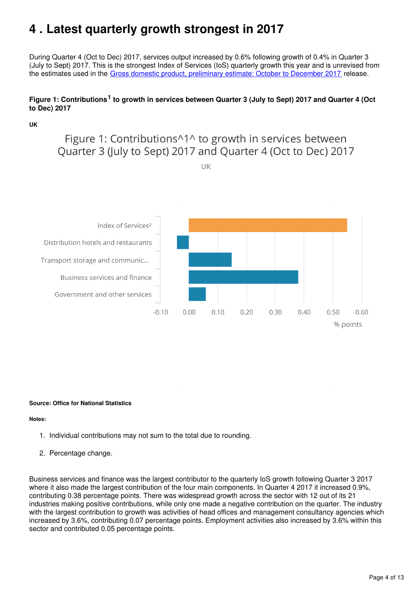## <span id="page-3-0"></span>**4 . Latest quarterly growth strongest in 2017**

During Quarter 4 (Oct to Dec) 2017, services output increased by 0.6% following growth of 0.4% in Quarter 3 (July to Sept) 2017. This is the strongest Index of Services (IoS) quarterly growth this year and is unrevised from the estimates used in the [Gross domestic product, preliminary estimate: October to December 2017](https://www.ons.gov.uk/economy/grossdomesticproductgdp/bulletins/grossdomesticproductpreliminaryestimate/octobertodecember2017) release.

#### Figure 1: Contributions<sup>1</sup> to growth in services between Quarter 3 (July to Sept) 2017 and Quarter 4 (Oct **to Dec) 2017**

#### **UK**

Figure 1: Contributions^1^ to growth in services between Quarter 3 (July to Sept) 2017 and Quarter 4 (Oct to Dec) 2017

UK



#### **Source: Office for National Statistics**

#### **Notes:**

- 1. Individual contributions may not sum to the total due to rounding.
- 2. Percentage change.

Business services and finance was the largest contributor to the quarterly IoS growth following Quarter 3 2017 where it also made the largest contribution of the four main components. In Quarter 4 2017 it increased 0.9%, contributing 0.38 percentage points. There was widespread growth across the sector with 12 out of its 21 industries making positive contributions, while only one made a negative contribution on the quarter. The industry with the largest contribution to growth was activities of head offices and management consultancy agencies which increased by 3.6%, contributing 0.07 percentage points. Employment activities also increased by 3.6% within this sector and contributed 0.05 percentage points.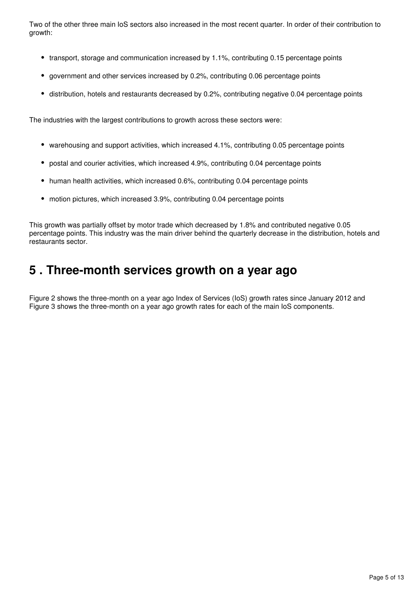Two of the other three main IoS sectors also increased in the most recent quarter. In order of their contribution to growth:

- transport, storage and communication increased by 1.1%, contributing 0.15 percentage points
- government and other services increased by 0.2%, contributing 0.06 percentage points
- distribution, hotels and restaurants decreased by 0.2%, contributing negative 0.04 percentage points

The industries with the largest contributions to growth across these sectors were:

- warehousing and support activities, which increased 4.1%, contributing 0.05 percentage points
- postal and courier activities, which increased 4.9%, contributing 0.04 percentage points
- human health activities, which increased 0.6%, contributing 0.04 percentage points
- motion pictures, which increased 3.9%, contributing 0.04 percentage points

This growth was partially offset by motor trade which decreased by 1.8% and contributed negative 0.05 percentage points. This industry was the main driver behind the quarterly decrease in the distribution, hotels and restaurants sector.

### <span id="page-4-0"></span>**5 . Three-month services growth on a year ago**

Figure 2 shows the three-month on a year ago Index of Services (IoS) growth rates since January 2012 and Figure 3 shows the three-month on a year ago growth rates for each of the main IoS components.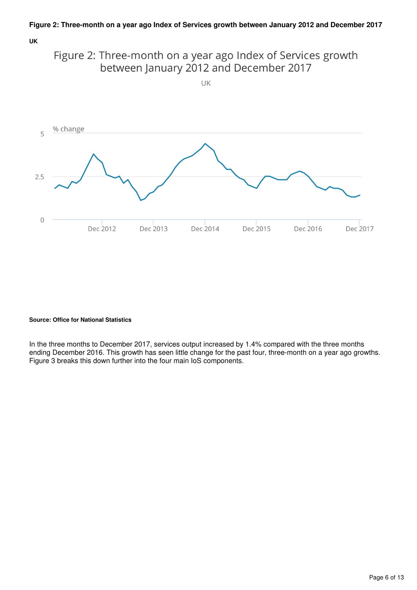**UK**





#### **Source: Office for National Statistics**

In the three months to December 2017, services output increased by 1.4% compared with the three months ending December 2016. This growth has seen little change for the past four, three-month on a year ago growths. Figure 3 breaks this down further into the four main IoS components.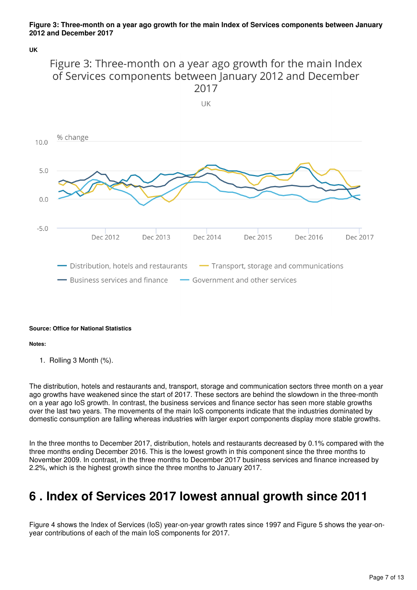#### **Figure 3: Three-month on a year ago growth for the main Index of Services components between January 2012 and December 2017**

**UK**

### Figure 3: Three-month on a year ago growth for the main Index of Services components between January 2012 and December 2017



#### **Source: Office for National Statistics**

#### **Notes:**

1. Rolling 3 Month (%).

The distribution, hotels and restaurants and, transport, storage and communication sectors three month on a year ago growths have weakened since the start of 2017. These sectors are behind the slowdown in the three-month on a year ago IoS growth. In contrast, the business services and finance sector has seen more stable growths over the last two years. The movements of the main IoS components indicate that the industries dominated by domestic consumption are falling whereas industries with larger export components display more stable growths.

In the three months to December 2017, distribution, hotels and restaurants decreased by 0.1% compared with the three months ending December 2016. This is the lowest growth in this component since the three months to November 2009. In contrast, in the three months to December 2017 business services and finance increased by 2.2%, which is the highest growth since the three months to January 2017.

### <span id="page-6-0"></span>**6 . Index of Services 2017 lowest annual growth since 2011**

Figure 4 shows the Index of Services (IoS) year-on-year growth rates since 1997 and Figure 5 shows the year-onyear contributions of each of the main IoS components for 2017.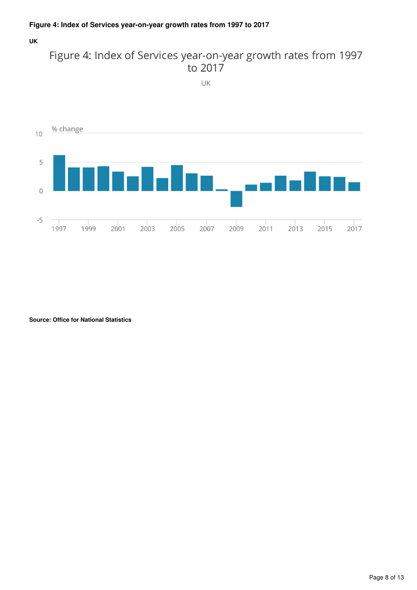#### **UK**



UK



**Source: Office for National Statistics**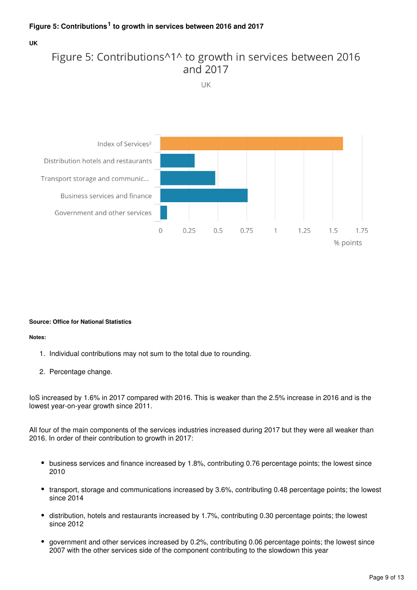#### **UK**

### Figure 5: Contributions<sup>11</sup> to growth in services between 2016 and 2017

UK



#### **Source: Office for National Statistics**

#### **Notes:**

- 1. Individual contributions may not sum to the total due to rounding.
- 2. Percentage change.

IoS increased by 1.6% in 2017 compared with 2016. This is weaker than the 2.5% increase in 2016 and is the lowest year-on-year growth since 2011.

All four of the main components of the services industries increased during 2017 but they were all weaker than 2016. In order of their contribution to growth in 2017:

- business services and finance increased by 1.8%, contributing 0.76 percentage points; the lowest since 2010
- transport, storage and communications increased by 3.6%, contributing 0.48 percentage points; the lowest since 2014
- distribution, hotels and restaurants increased by 1.7%, contributing 0.30 percentage points; the lowest since 2012
- government and other services increased by 0.2%, contributing 0.06 percentage points; the lowest since 2007 with the other services side of the component contributing to the slowdown this year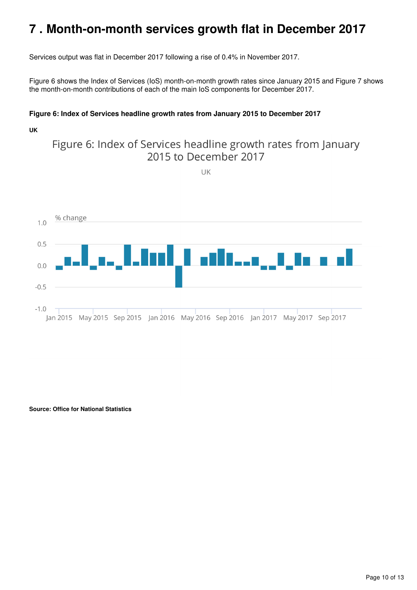### <span id="page-9-0"></span>**7 . Month-on-month services growth flat in December 2017**

Services output was flat in December 2017 following a rise of 0.4% in November 2017.

Figure 6 shows the Index of Services (IoS) month-on-month growth rates since January 2015 and Figure 7 shows the month-on-month contributions of each of the main IoS components for December 2017.

#### **Figure 6: Index of Services headline growth rates from January 2015 to December 2017**

#### **UK**

### Figure 6: Index of Services headline growth rates from January 2015 to December 2017

 $UK$ 



**Source: Office for National Statistics**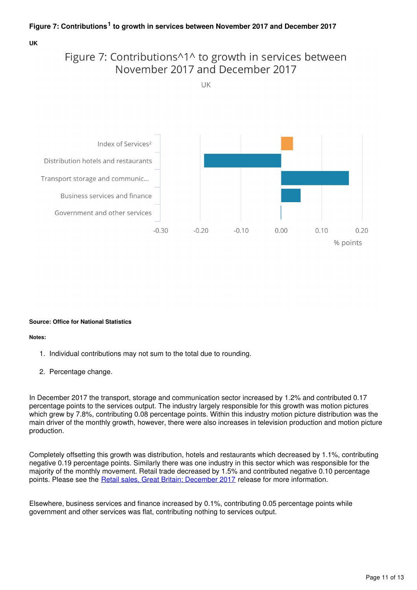#### **UK**

### Figure 7: Contributions^1^ to growth in services between November 2017 and December 2017

 $| \, | \, | \,$ 



#### **Source: Office for National Statistics**

**Notes:**

- 1. Individual contributions may not sum to the total due to rounding.
- 2. Percentage change.

In December 2017 the transport, storage and communication sector increased by 1.2% and contributed 0.17 percentage points to the services output. The industry largely responsible for this growth was motion pictures which grew by 7.8%, contributing 0.08 percentage points. Within this industry motion picture distribution was the main driver of the monthly growth, however, there were also increases in television production and motion picture production.

Completely offsetting this growth was distribution, hotels and restaurants which decreased by 1.1%, contributing negative 0.19 percentage points. Similarly there was one industry in this sector which was responsible for the majority of the monthly movement. Retail trade decreased by 1.5% and contributed negative 0.10 percentage points. Please see the [Retail sales, Great Britain: December 2017](https://www.ons.gov.uk/businessindustryandtrade/retailindustry/bulletins/retailsales/december2017) release for more information.

Elsewhere, business services and finance increased by 0.1%, contributing 0.05 percentage points while government and other services was flat, contributing nothing to services output.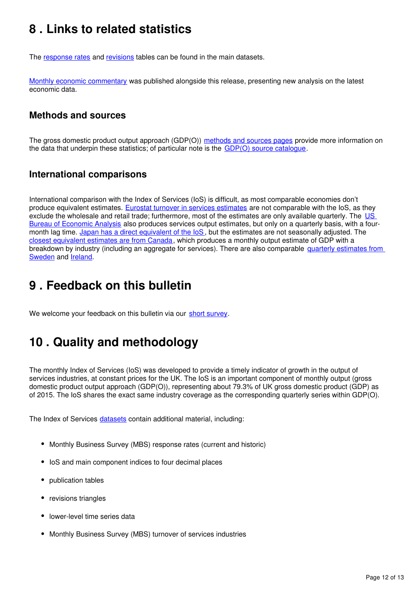## <span id="page-11-0"></span>**8 . Links to related statistics**

The response rates and revisions tables can be found in the main datasets.

[Monthly economic commentary](https://www.ons.gov.uk/economy/nationalaccounts/uksectoraccounts/articles/monthlyeconomiccommentary/previousReleases) was published alongside this release, presenting new analysis on the latest economic data.

### **Methods and sources**

The gross domestic product output approach (GDP(O)) [methods and sources pages](https://www.ons.gov.uk/economy/economicoutputandproductivity/output/methodologies/indexofservicesios) provide more information on the data that underpin these statistics; of particular note is the  $GDP(O)$  source catalogue.

### **International comparisons**

International comparison with the Index of Services (IoS) is difficult, as most comparable economies don't produce equivalent estimates. [Eurostat turnover in services estimates](http://ec.europa.eu/eurostat/web/products-datasets/-/teiis700) are not comparable with the IoS, as they exclude the wholesale and retail trade; furthermore, most of the estimates are only available quarterly. The US [Bureau of Economic Analysis](http://bea.gov/newsreleases/glance.htm) also produces services output estimates, but only on a quarterly basis, with a four-month lag time. [Japan has a direct equivalent of the IoS](http://www.stat.go.jp/english/data/mssi/kekka.htm), but the estimates are not seasonally adjusted. The [closest equivalent estimates are from Canada](http://www5.statcan.gc.ca/cansim/a05?lang=eng&id=3790031&pattern=3790031&searchTypeByValue=1&p2=35), which produces a monthly output estimate of GDP with a breakdown by industry (including an aggregate for services). There are also comparable quarterly estimates from [Sweden](http://www.scb.se/en_/Finding-statistics/Statistics-by-subject-area/National-Accounts/National-Accounts/National-Accounts-quarterly-and-annual-estimates/) and Ireland[.](http://www.cso.ie/en/statistics/nationalaccounts/)

### <span id="page-11-1"></span>**9 . Feedback on this bulletin**

We welcome your feedback on this bulletin via our short survey.

## <span id="page-11-2"></span>**10 . Quality and methodology**

The monthly Index of Services (IoS) was developed to provide a timely indicator of growth in the output of services industries, at constant prices for the UK. The IoS is an important component of monthly output (gross domestic product output approach (GDP(O)), representing about 79.3% of UK gross domestic product (GDP) as of 2015. The IoS shares the exact same industry coverage as the corresponding quarterly series within GDP(O).

The Index of Services datasets contain additional material, including:

- Monthly Business Survey (MBS) response rates (current and historic)
- IoS and main component indices to four decimal places
- publication tables
- revisions triangles
- lower-level time series data
- Monthly Business Survey (MBS) turnover of services industries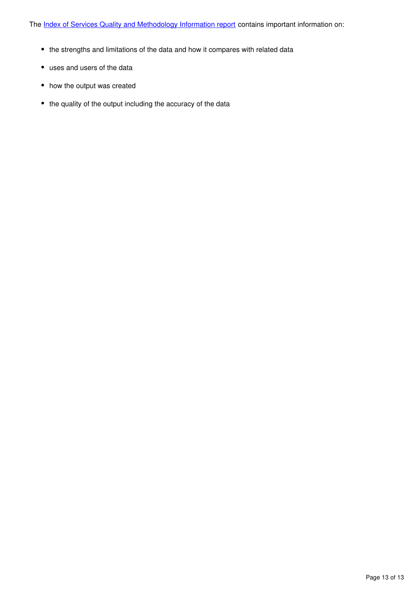The [Index of Services Quality and Methodology Information report](https://www.ons.gov.uk/economy/nationalaccounts/uksectoraccounts/qmis/indexofservicesqmi) contains important information on:

- the strengths and limitations of the data and how it compares with related data
- uses and users of the data
- how the output was created
- the quality of the output including the accuracy of the data